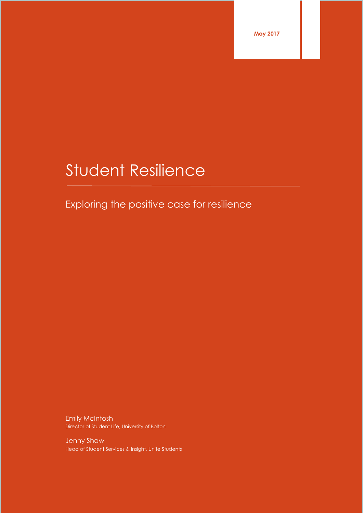**May 2017**

# Student Resilience

# Exploring the positive case for resilience

Emily McIntosh Director of Student Life, University of Bolton

Jenny Shaw Head of Student Services & Insight, Unite Students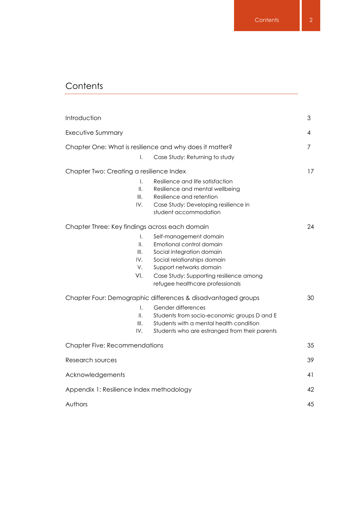# **Contents**

| Introduction                                            |                                                                                                                                                                                                                               | 3  |
|---------------------------------------------------------|-------------------------------------------------------------------------------------------------------------------------------------------------------------------------------------------------------------------------------|----|
| <b>Executive Summary</b>                                |                                                                                                                                                                                                                               | 4  |
| Chapter One: What is resilience and why does it matter? |                                                                                                                                                                                                                               | 7  |
| Ι.                                                      | Case Study: Returning to study                                                                                                                                                                                                |    |
| Chapter Two: Creating a resilience Index                |                                                                                                                                                                                                                               | 17 |
| $\mathsf{L}$<br>$\parallel$ .                           | Resilience and life satisfaction<br>Resilience and mental wellbeing                                                                                                                                                           |    |
| III.<br>IV.                                             | Resilience and retention<br>Case Study: Developing resilience in<br>student accommodation                                                                                                                                     |    |
| Chapter Three: Key findings across each domain          |                                                                                                                                                                                                                               | 24 |
| $\mathsf{L}$<br>II.<br>III.<br>IV.<br>V.<br>VI.         | Self-management domain<br>Emotional control domain<br>Social integration domain<br>Social relationships domain<br>Support networks domain<br>Case Study: Supporting resilience among<br>refugee healthcare professionals      |    |
| $\mathsf{L}$<br>Ⅱ.<br>III.<br>IV.                       | Chapter Four: Demographic differences & disadvantaged groups<br>Gender differences<br>Students from socio-economic groups D and E<br>Students with a mental health condition<br>Students who are estranged from their parents | 30 |
| <b>Chapter Five: Recommendations</b>                    |                                                                                                                                                                                                                               | 35 |
| Research sources                                        |                                                                                                                                                                                                                               | 39 |
| Acknowledgements                                        |                                                                                                                                                                                                                               | 41 |
| Appendix 1: Resilience Index methodology                |                                                                                                                                                                                                                               | 42 |
| Authors                                                 |                                                                                                                                                                                                                               | 45 |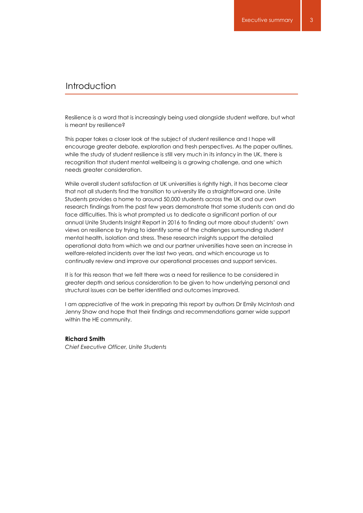# Introduction

Resilience is a word that is increasingly being used alongside student welfare, but what is meant by resilience?

This paper takes a closer look at the subject of student resilience and I hope will encourage greater debate, exploration and fresh perspectives. As the paper outlines, while the study of student resilience is still very much in its infancy in the UK, there is recognition that student mental wellbeing is a growing challenge, and one which needs greater consideration.

While overall student satisfaction at UK universities is rightly high, it has become clear that not all students find the transition to university life a straightforward one. Unite Students provides a home to around 50,000 students across the UK and our own research findings from the past few years demonstrate that some students can and do face difficulties. This is what prompted us to dedicate a significant portion of our annual Unite Students Insight Report in 2016 to finding out more about students' own views on resilience by trying to identify some of the challenges surrounding student mental health, isolation and stress. These research insights support the detailed operational data from which we and our partner universities have seen an increase in welfare-related incidents over the last two years, and which encourage us to continually review and improve our operational processes and support services.

It is for this reason that we felt there was a need for resilience to be considered in greater depth and serious consideration to be given to how underlying personal and structural issues can be better identified and outcomes improved.

I am appreciative of the work in preparing this report by authors Dr Emily McIntosh and Jenny Shaw and hope that their findings and recommendations garner wide support within the HE community.

#### **Richard Smith**

*Chief Executive Officer, Unite Students*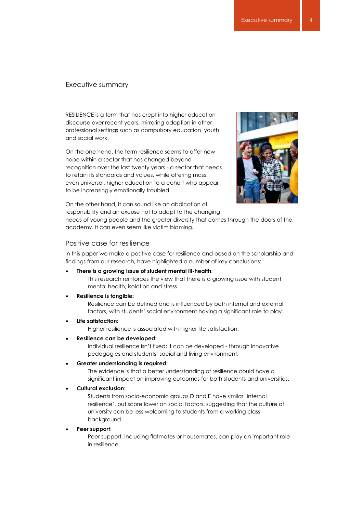RESILIENCE is a term that has crept into higher education discourse over recent years, mirroring adoption in other professional settings such as compulsory education, youth and social work.

On the one hand, the term resilience seems to offer new hope within a sector that has changed beyond recognition over the last twenty years - a sector that needs to retain its standards and values, while offering mass, even universal, higher education to a cohort who appear to be increasingly emotionally troubled.



On the other hand, it can sound like an abdication of responsibility and an excuse not to adapt to the changing

needs of young people and the greater diversity that comes through the doors of the academy. It can even seem like victim blaming.

#### Positive case for resilience

In this paper we make a positive case for resilience and based on the scholarship and findings from our research, have highlighted a number of key conclusions:

#### **There is a growing issue of student mental ill-health**:

This research reinforces the view that there is a growing issue with student mental health, isolation and stress.

#### **Resilience is tangible:**

Resilience can be defined and is influenced by both internal and external factors, with students' social environment having a significant role to play.

**Life satisfaction:**

Higher resilience is associated with higher life satisfaction.

#### **Resilience can be developed:**

Individual resilience isn't fixed; it can be developed - through innovative pedagogies and students' social and living environment.

#### **Greater understanding is required**:

The evidence is that a better understanding of resilience could have a significant impact on improving outcomes for both students and universities.

#### **Cultural exclusion**:

Students from socio-economic groups D and E have similar 'internal resilience', but score lower on social factors, suggesting that the culture of university can be less welcoming to students from a working class background.

#### **Peer support**:

Peer support, including flatmates or housemates, can play an important role in resilience.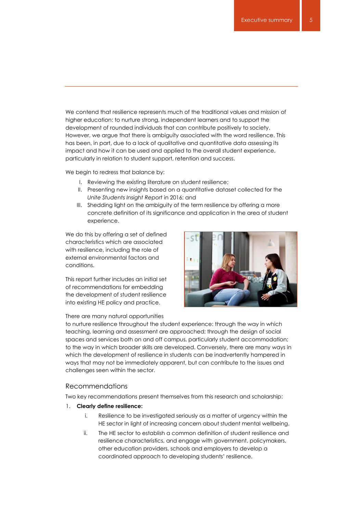We contend that resilience represents much of the traditional values and mission of higher education: to nurture strong, independent learners and to support the development of rounded individuals that can contribute positively to society. However, we argue that there is ambiguity associated with the word resilience. This has been, in part, due to a lack of qualitative and quantitative data assessing its impact and how it can be used and applied to the overall student experience, particularly in relation to student support, retention and success.

We begin to redress that balance by:

- I. Reviewing the existing literature on student resilience;
- II. Presenting new insights based on a quantitative dataset collected for the *Unite Students Insight Report* in 2016; and
- III. Shedding light on the ambiguity of the term resilience by offering a more concrete definition of its significance and application in the area of student experience.

We do this by offering a set of defined characteristics which are associated with resilience, including the role of external environmental factors and conditions.

This report further includes an initial set of recommendations for embedding the development of student resilience into existing HE policy and practice.

#### There are many natural opportunities



to nurture resilience throughout the student experience: through the way in which teaching, learning and assessment are approached; through the design of social spaces and services both on and off campus, particularly student accommodation; to the way in which broader skills are developed. Conversely, there are many ways in which the development of resilience in students can be inadvertently hampered in ways that may not be immediately apparent, but can contribute to the issues and challenges seen within the sector.

#### Recommendations

Two key recommendations present themselves from this research and scholarship:

- 1. **Clearly define resilience:**
	- i. Resilience to be investigated seriously as a matter of urgency within the HE sector in light of increasing concern about student mental wellbeing.
	- ii. The HE sector to establish a common definition of student resilience and resilience characteristics, and engage with government, policymakers, other education providers, schools and employers to develop a coordinated approach to developing students' resilience.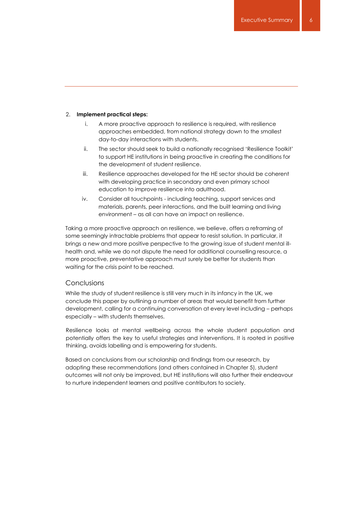#### 2. **Implement practical steps:**

- i. A more proactive approach to resilience is required, with resilience approaches embedded, from national strategy down to the smallest day-to-day interactions with students.
- ii. The sector should seek to build a nationally recognised 'Resilience Toolkit' to support HE institutions in being proactive in creating the conditions for the development of student resilience.
- iii. Resilience approaches developed for the HE sector should be coherent with developing practice in secondary and even primary school education to improve resilience into adulthood.
- iv. Consider all touchpoints including teaching, support services and materials, parents, peer interactions, and the built learning and living environment – as all can have an impact on resilience.

Taking a more proactive approach on resilience, we believe, offers a reframing of some seemingly intractable problems that appear to resist solution. In particular, it brings a new and more positive perspective to the growing issue of student mental illhealth and, while we do not dispute the need for additional counselling resource, a more proactive, preventative approach must surely be better for students than waiting for the crisis point to be reached.

#### Conclusions

While the study of student resilience is still very much in its infancy in the UK, we conclude this paper by outlining a number of areas that would benefit from further development, calling for a continuing conversation at every level including – perhaps especially – with students themselves.

Resilience looks at mental wellbeing across the whole student population and potentially offers the key to useful strategies and interventions. It is rooted in positive thinking, avoids labelling and is empowering for students.

Based on conclusions from our scholarship and findings from our research, by adopting these recommendations (and others contained in Chapter 5), student outcomes will not only be improved, but HE institutions will also further their endeavour to nurture independent learners and positive contributors to society.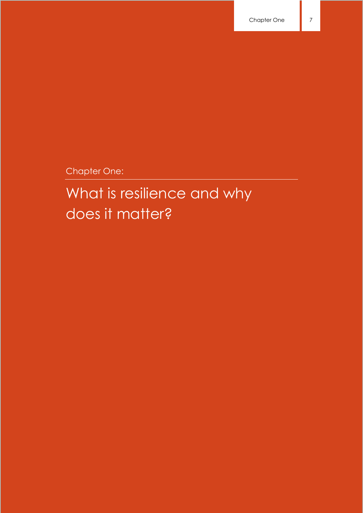Chapter One:

# What is resilience and why does it matter?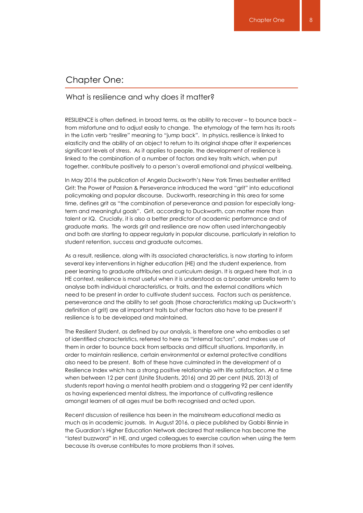## Chapter One:

#### What is resilience and why does it matter?

RESILIENCE is often defined, in broad terms, as the ability to recover – to bounce back – from misfortune and to adjust easily to change. The etymology of the term has its roots in the Latin verb "resilire" meaning to "jump back". In physics, resilience is linked to elasticity and the ability of an object to return to its original shape after it experiences significant levels of stress. As it applies to people, the development of resilience is linked to the combination of a number of factors and key traits which, when put together, contribute positively to a person's overall emotional and physical wellbeing.

In May 2016 the publication of Angela Duckworth's New York Times bestseller entitled Grit: The Power of Passion & Perseverance introduced the word "grit" into educational policymaking and popular discourse. Duckworth, researching in this area for some time, defines grit as "the combination of perseverance and passion for especially longterm and meaningful goals". Grit, according to Duckworth, can matter more than talent or IQ. Crucially, it is also a better predictor of academic performance and of graduate marks. The words grit and resilience are now often used interchangeably and both are starting to appear regularly in popular discourse, particularly in relation to student retention, success and graduate outcomes.

As a result, resilience, along with its associated characteristics, is now starting to inform several key interventions in higher education (HE) and the student experience, from peer learning to graduate attributes and curriculum design. It is argued here that, in a HE context, resilience is most useful when it is understood as a broader umbrella term to analyse both individual characteristics, or traits, and the external conditions which need to be present in order to cultivate student success. Factors such as persistence, perseverance and the ability to set goals (those characteristics making up Duckworth's definition of grit) are all important traits but other factors also have to be present if resilience is to be developed and maintained.

The Resilient Student, as defined by our analysis, is therefore one who embodies a set of identified characteristics, referred to here as "internal factors", and makes use of them in order to bounce back from setbacks and difficult situations. Importantly, in order to maintain resilience, certain environmental or external protective conditions also need to be present. Both of these have culminated in the development of a Resilience Index which has a strong positive relationship with life satisfaction. At a time when between 12 per cent (Unite Students, 2016) and 20 per cent (NUS, 2013) of students report having a mental health problem and a staggering 92 per cent identify as having experienced mental distress, the importance of cultivating resilience amongst learners of all ages must be both recognised and acted upon.

Recent discussion of resilience has been in the mainstream educational media as much as in academic journals. In August 2016, a piece published by Gabbi Binnie in the Guardian's Higher Education Network declared that resilience has become the "latest buzzword" in HE, and urged colleagues to exercise caution when using the term because its overuse contributes to more problems than it solves.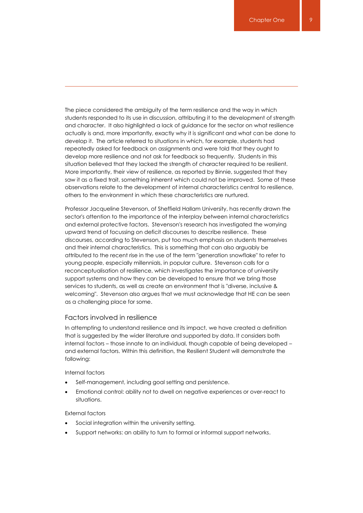The piece considered the ambiguity of the term resilience and the way in which students responded to its use in discussion, attributing it to the development of strength and character. It also highlighted a lack of guidance for the sector on what resilience actually is and, more importantly, exactly why it is significant and what can be done to develop it. The article referred to situations in which, for example, students had repeatedly asked for feedback on assignments and were told that they ought to develop more resilience and not ask for feedback so frequently. Students in this situation believed that they lacked the strength of character required to be resilient. More importantly, their view of resilience, as reported by Binnie, suggested that they saw it as a fixed trait, something inherent which could not be improved. Some of these observations relate to the development of internal characteristics central to resilience, others to the environment in which these characteristics are nurtured.

Professor Jacqueline Stevenson, of Sheffield Hallam University, has recently drawn the sector's attention to the importance of the interplay between internal characteristics and external protective factors. Stevenson's research has investigated the worrying upward trend of focussing on deficit discourses to describe resilience. These discourses, according to Stevenson, put too much emphasis on students themselves and their internal characteristics. This is something that can also arguably be attributed to the recent rise in the use of the term "generation snowflake" to refer to young people, especially millennials, in popular culture. Stevenson calls for a reconceptualisation of resilience, which investigates the importance of university support systems and how they can be developed to ensure that we bring those services to students, as well as create an environment that is "diverse, inclusive & welcoming". Stevenson also argues that we must acknowledge that HE can be seen as a challenging place for some.

#### Factors involved in resilience

In attempting to understand resilience and its impact, we have created a definition that is suggested by the wider literature and supported by data. It considers both internal factors – those innate to an individual, though capable of being developed – and external factors. Within this definition, the Resilient Student will demonstrate the following:

Internal factors

- Self-management, including goal setting and persistence.
- Emotional control: ability not to dwell on negative experiences or over-react to situations.

#### External factors

- Social integration within the university setting.
- Support networks: an ability to turn to formal or informal support networks.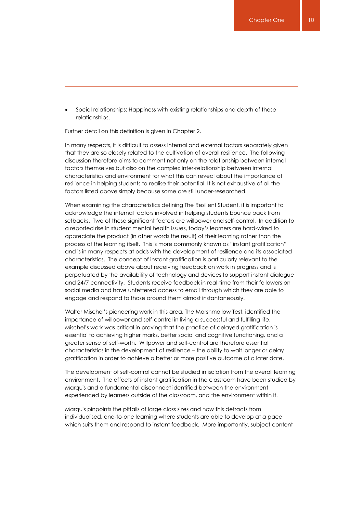Social relationships: Happiness with existing relationships and depth of these relationships.

Further detail on this definition is given in Chapter 2.

In many respects, it is difficult to assess internal and external factors separately given that they are so closely related to the cultivation of overall resilience. The following discussion therefore aims to comment not only on the relationship between internal factors themselves but also on the complex inter-relationship between internal characteristics and environment for what this can reveal about the importance of resilience in helping students to realise their potential. It is not exhaustive of all the factors listed above simply because some are still under-researched.

When examining the characteristics defining The Resilient Student, it is important to acknowledge the internal factors involved in helping students bounce back from setbacks. Two of these significant factors are willpower and self-control. In addition to a reported rise in student mental health issues, today's learners are hard-wired to appreciate the product (in other words the result) of their learning rather than the process of the learning itself. This is more commonly known as "instant gratification" and is in many respects at odds with the development of resilience and its associated characteristics. The concept of instant gratification is particularly relevant to the example discussed above about receiving feedback on work in progress and is perpetuated by the availability of technology and devices to support instant dialogue and 24/7 connectivity. Students receive feedback in real-time from their followers on social media and have unfettered access to email through which they are able to engage and respond to those around them almost instantaneously.

Walter Mischel's pioneering work in this area, The Marshmallow Test, identified the importance of willpower and self-control in living a successful and fulfilling life. Mischel's work was critical in proving that the practice of delayed gratification is essential to achieving higher marks, better social and cognitive functioning, and a greater sense of self-worth. Willpower and self-control are therefore essential characteristics in the development of resilience – the ability to wait longer or delay gratification in order to achieve a better or more positive outcome at a later date.

The development of self-control cannot be studied in isolation from the overall learning environment. The effects of instant gratification in the classroom have been studied by Marquis and a fundamental disconnect identified between the environment experienced by learners outside of the classroom, and the environment within it.

Marquis pinpoints the pitfalls of large class sizes and how this detracts from individualised, one-to-one learning where students are able to develop at a pace which suits them and respond to instant feedback. More importantly, subject content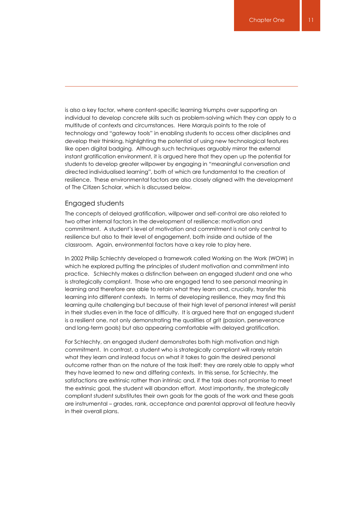is also a key factor, where content-specific learning triumphs over supporting an individual to develop concrete skills such as problem-solving which they can apply to a multitude of contexts and circumstances. Here Marquis points to the role of technology and "gateway tools" in enabling students to access other disciplines and develop their thinking, highlighting the potential of using new technological features like open digital badging. Although such techniques arguably mirror the external instant gratification environment, it is argued here that they open up the potential for students to develop greater willpower by engaging in "meaningful conversation and directed individualised learning", both of which are fundamental to the creation of resilience. These environmental factors are also closely aligned with the development of The Citizen Scholar, which is discussed below.

#### Engaged students

The concepts of delayed gratification, willpower and self-control are also related to two other internal factors in the development of resilience: motivation and commitment. A student's level of motivation and commitment is not only central to resilience but also to their level of engagement, both inside and outside of the classroom. Again, environmental factors have a key role to play here.

In 2002 Philip Schlechty developed a framework called Working on the Work (WOW) in which he explored putting the principles of student motivation and commitment into practice. Schlechty makes a distinction between an engaged student and one who is strategically compliant. Those who are engaged tend to see personal meaning in learning and therefore are able to retain what they learn and, crucially, transfer this learning into different contexts. In terms of developing resilience, they may find this learning quite challenging but because of their high level of personal interest will persist in their studies even in the face of difficulty. It is argued here that an engaged student is a resilient one, not only demonstrating the qualities of grit (passion, perseverance and long-term goals) but also appearing comfortable with delayed gratification.

For Schlechty, an engaged student demonstrates both high motivation and high commitment. In contrast, a student who is strategically compliant will rarely retain what they learn and instead focus on what it takes to gain the desired personal outcome rather than on the nature of the task itself: they are rarely able to apply what they have learned to new and differing contexts. In this sense, for Schlechty, the satisfactions are extrinsic rather than intrinsic and, if the task does not promise to meet the extrinsic goal, the student will abandon effort. Most importantly, the strategically compliant student substitutes their own goals for the goals of the work and these goals are instrumental – grades, rank, acceptance and parental approval all feature heavily in their overall plans.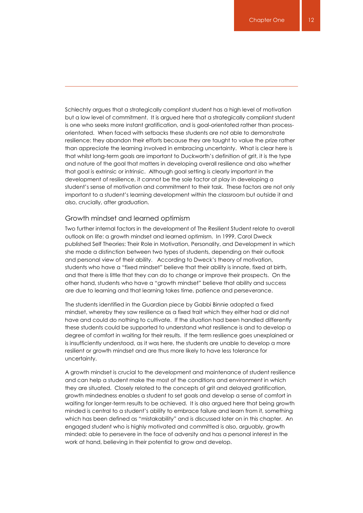Schlechty argues that a strategically compliant student has a high level of motivation but a low level of commitment. It is argued here that a strategically compliant student is one who seeks more instant gratification, and is goal-orientated rather than processorientated. When faced with setbacks these students are not able to demonstrate resilience: they abandon their efforts because they are taught to value the prize rather than appreciate the learning involved in embracing uncertainty. What is clear here is that whilst long-term goals are important to Duckworth's definition of grit, it is the type and nature of the goal that matters in developing overall resilience and also whether that goal is extrinsic or intrinsic. Although goal setting is clearly important in the development of resilience, it cannot be the sole factor at play in developing a student's sense of motivation and commitment to their task. These factors are not only important to a student's learning development within the classroom but outside it and also, crucially, after graduation.

#### Growth mindset and learned optimism

Two further internal factors in the development of The Resilient Student relate to overall outlook on life: a growth mindset and learned optimism. In 1999, Carol Dweck published Self Theories: Their Role in Motivation, Personality, and Development in which she made a distinction between two types of students, depending on their outlook and personal view of their ability. According to Dweck's theory of motivation, students who have a "fixed mindset" believe that their ability is innate, fixed at birth, and that there is little that they can do to change or improve their prospects. On the other hand, students who have a "growth mindset" believe that ability and success are due to learning and that learning takes time, patience and perseverance.

The students identified in the Guardian piece by Gabbi Binnie adopted a fixed mindset, whereby they saw resilience as a fixed trait which they either had or did not have and could do nothing to cultivate. If the situation had been handled differently these students could be supported to understand what resilience is and to develop a degree of comfort in waiting for their results. If the term resilience goes unexplained or is insufficiently understood, as it was here, the students are unable to develop a more resilient or growth mindset and are thus more likely to have less tolerance for uncertainty.

A growth mindset is crucial to the development and maintenance of student resilience and can help a student make the most of the conditions and environment in which they are situated. Closely related to the concepts of grit and delayed gratification, growth mindedness enables a student to set goals and develop a sense of comfort in waiting for longer-term results to be achieved. It is also argued here that being growth minded is central to a student's ability to embrace failure and learn from it, something which has been defined as "mistakability" and is discussed later on in this chapter. An engaged student who is highly motivated and committed is also, arguably, growth minded: able to persevere in the face of adversity and has a personal interest in the work at hand, believing in their potential to grow and develop.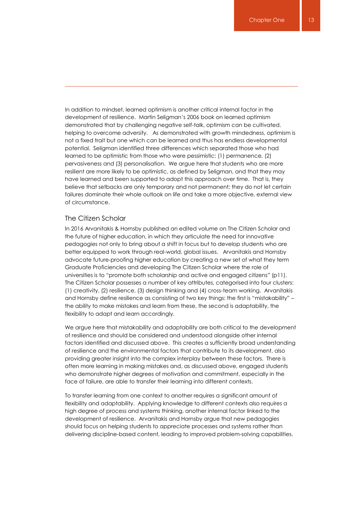In addition to mindset, learned optimism is another critical internal factor in the development of resilience. Martin Seligman's 2006 book on learned optimism demonstrated that by challenging negative self-talk, optimism can be cultivated, helping to overcome adversity. As demonstrated with growth mindedness, optimism is not a fixed trait but one which can be learned and thus has endless developmental potential. Seligman identified three differences which separated those who had learned to be optimistic from those who were pessimistic: (1) permanence, (2) pervasiveness and (3) personalisation. We argue here that students who are more resilient are more likely to be optimistic, as defined by Seligman, and that they may have learned and been supported to adopt this approach over time. That is, they believe that setbacks are only temporary and not permanent; they do not let certain failures dominate their whole outlook on life and take a more objective, external view of circumstance.

#### The Citizen Scholar

In 2016 Arvanitakis & Hornsby published an edited volume on The Citizen Scholar and the future of higher education, in which they articulate the need for innovative pedagogies not only to bring about a shift in focus but to develop students who are better equipped to work through real-world, global issues. Arvanitakis and Hornsby advocate future-proofing higher education by creating a new set of what they term Graduate Proficiencies and developing The Citizen Scholar where the role of universities is to "promote both scholarship and active and engaged citizens" (p11). The Citizen Scholar possesses a number of key attributes, categorised into four clusters: (1) creativity, (2) resilience, (3) design thinking and (4) cross-team working. Arvanitakis and Hornsby define resilience as consisting of two key things: the first is "mistakability" – the ability to make mistakes and learn from these, the second is adaptability, the flexibility to adapt and learn accordingly.

We argue here that mistakability and adaptability are both critical to the development of resilience and should be considered and understood alongside other internal factors identified and discussed above. This creates a sufficiently broad understanding of resilience and the environmental factors that contribute to its development, also providing greater insight into the complex interplay between these factors. There is often more learning in making mistakes and, as discussed above, engaged students who demonstrate higher degrees of motivation and commitment, especially in the face of failure, are able to transfer their learning into different contexts.

To transfer learning from one context to another requires a significant amount of flexibility and adaptability. Applying knowledge to different contexts also requires a high degree of process and systems thinking, another internal factor linked to the development of resilience. Arvanitakis and Hornsby argue that new pedagogies should focus on helping students to appreciate processes and systems rather than delivering discipline-based content, leading to improved problem-solving capabilities.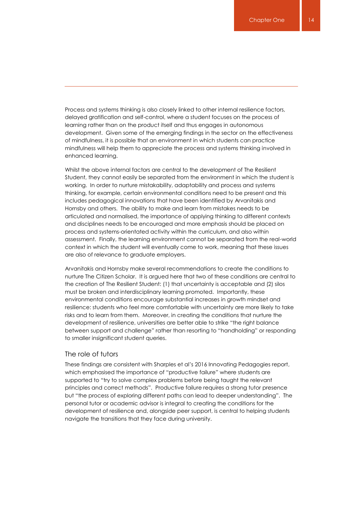Process and systems thinking is also closely linked to other internal resilience factors, delayed gratification and self-control, where a student focuses on the process of learning rather than on the product itself and thus engages in autonomous development. Given some of the emerging findings in the sector on the effectiveness of mindfulness, it is possible that an environment in which students can practice mindfulness will help them to appreciate the process and systems thinking involved in enhanced learning.

Whilst the above internal factors are central to the development of The Resilient Student, they cannot easily be separated from the environment in which the student is working. In order to nurture mistakability, adaptability and process and systems thinking, for example, certain environmental conditions need to be present and this includes pedagogical innovations that have been identified by Arvanitakis and Hornsby and others. The ability to make and learn from mistakes needs to be articulated and normalised, the importance of applying thinking to different contexts and disciplines needs to be encouraged and more emphasis should be placed on process and systems-orientated activity within the curriculum, and also within assessment. Finally, the learning environment cannot be separated from the real-world context in which the student will eventually come to work, meaning that these issues are also of relevance to graduate employers.

Arvanitakis and Hornsby make several recommendations to create the conditions to nurture The Citizen Scholar. It is argued here that two of these conditions are central to the creation of The Resilient Student: (1) that uncertainty is acceptable and (2) silos must be broken and interdisciplinary learning promoted. Importantly, these environmental conditions encourage substantial increases in growth mindset and resilience: students who feel more comfortable with uncertainty are more likely to take risks and to learn from them. Moreover, in creating the conditions that nurture the development of resilience, universities are better able to strike "the right balance between support and challenge" rather than resorting to "handholding" or responding to smaller insignificant student queries.

#### The role of tutors

These findings are consistent with Sharples et al's 2016 Innovating Pedagogies report, which emphasised the importance of "productive failure" where students are supported to "try to solve complex problems before being taught the relevant principles and correct methods". Productive failure requires a strong tutor presence but "the process of exploring different paths can lead to deeper understanding". The personal tutor or academic advisor is integral to creating the conditions for the development of resilience and, alongside peer support, is central to helping students navigate the transitions that they face during university.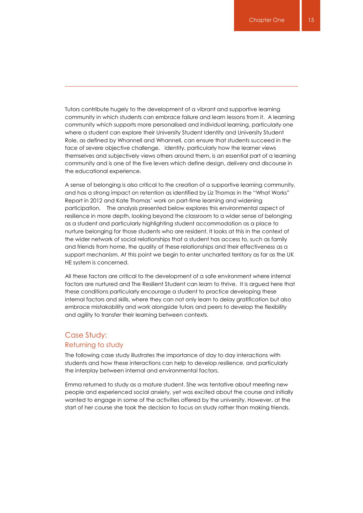Tutors contribute hugely to the development of a vibrant and supportive learning community in which students can embrace failure and learn lessons from it. A learning community which supports more personalised and individual learning, particularly one where a student can explore their University Student Identity and University Student Role, as defined by Whannell and Whannell, can ensure that students succeed in the face of severe objective challenge. Identity, particularly how the learner views themselves and subjectively views others around them, is an essential part of a learning community and is one of the five levers which define design, delivery and discourse in the educational experience.

A sense of belonging is also critical to the creation of a supportive learning community, and has a strong impact on retention as identified by Liz Thomas in the "What Works" Report in 2012 and Kate Thomas' work on part-time learning and widening participation. The analysis presented below explores this environmental aspect of resilience in more depth, looking beyond the classroom to a wider sense of belonging as a student and particularly highlighting student accommodation as a place to nurture belonging for those students who are resident. It looks at this in the context of the wider network of social relationships that a student has access to, such as family and friends from home, the quality of these relationships and their effectiveness as a support mechanism. At this point we begin to enter uncharted territory as far as the UK HE system is concerned.

All these factors are critical to the development of a safe environment where internal factors are nurtured and The Resilient Student can learn to thrive. It is argued here that these conditions particularly encourage a student to practice developing these internal factors and skills, where they can not only learn to delay gratification but also embrace mistakability and work alongside tutors and peers to develop the flexibility and agility to transfer their learning between contexts.

# Case Study: Returning to study

The following case study illustrates the importance of day to day interactions with students and how these interactions can help to develop resilience, and particularly the interplay between internal and environmental factors.

Emma returned to study as a mature student. She was tentative about meeting new people and experienced social anxiety, yet was excited about the course and initially wanted to engage in some of the activities offered by the university. However, at the start of her course she took the decision to focus on study rather than making friends.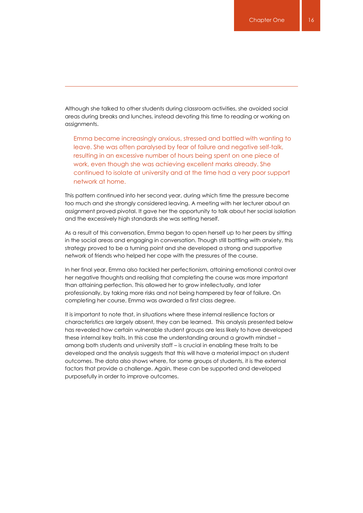Although she talked to other students during classroom activities, she avoided social areas during breaks and lunches, instead devoting this time to reading or working on assignments.

Emma became increasingly anxious, stressed and battled with wanting to leave. She was often paralysed by fear of failure and negative self-talk, resulting in an excessive number of hours being spent on one piece of work, even though she was achieving excellent marks already. She continued to isolate at university and at the time had a very poor support network at home.

This pattern continued into her second year, during which time the pressure become too much and she strongly considered leaving. A meeting with her lecturer about an assignment proved pivotal. It gave her the opportunity to talk about her social isolation and the excessively high standards she was setting herself.

As a result of this conversation, Emma began to open herself up to her peers by sitting in the social areas and engaging in conversation. Though still battling with anxiety, this strategy proved to be a turning point and she developed a strong and supportive network of friends who helped her cope with the pressures of the course.

In her final year, Emma also tackled her perfectionism, attaining emotional control over her negative thoughts and realising that completing the course was more important than attaining perfection. This allowed her to grow intellectually, and later professionally, by taking more risks and not being hampered by fear of failure. On completing her course, Emma was awarded a first class degree.

It is important to note that, in situations where these internal resilience factors or characteristics are largely absent, they can be learned. This analysis presented below has revealed how certain vulnerable student groups are less likely to have developed these internal key traits. In this case the understanding around a growth mindset – among both students and university staff – is crucial in enabling these traits to be developed and the analysis suggests that this will have a material impact on student outcomes. The data also shows where, for some groups of students, it is the external factors that provide a challenge. Again, these can be supported and developed purposefully in order to improve outcomes.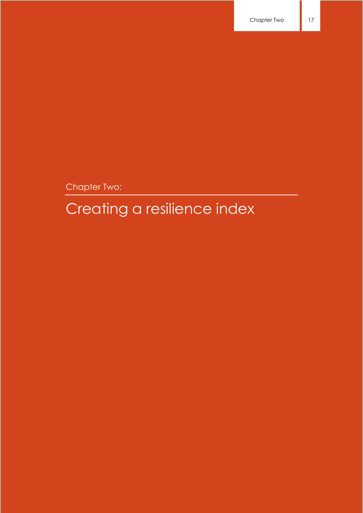Chapter Two:

# Creating a resilience index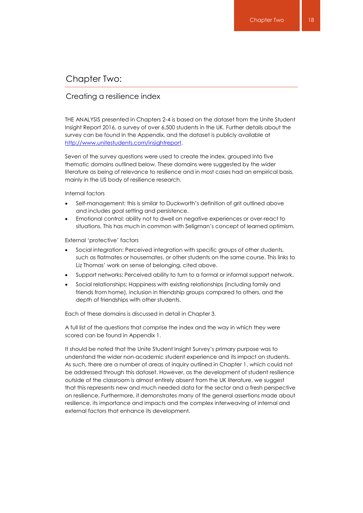# Chapter Two:

#### Creating a resilience index

THE ANALYSIS presented in Chapters 2-4 is based on the dataset from the Unite Student Insight Report 2016, a survey of over 6,500 students in the UK. Further details about the survey can be found in the Appendix, and the dataset is publicly available at [http://www.unitestudents.com/insightreport.](http://www.unitestudents.com/insightreport)

Seven of the survey questions were used to create the index, grouped into five thematic domains outlined below. These domains were suggested by the wider literature as being of relevance to resilience and in most cases had an empirical basis, mainly in the US body of resilience research.

Internal factors

- Self-management: this is similar to Duckworth's definition of grit outlined above and includes goal setting and persistence.
- Emotional control: ability not to dwell on negative experiences or over-react to situations. This has much in common with Seligman's concept of learned optimism.

External 'protective' factors

- Social integration: Perceived integration with specific groups of other students, such as flatmates or housemates, or other students on the same course. This links to Liz Thomas' work on sense of belonging, cited above.
- Support networks: Perceived ability to turn to a formal or informal support network.
- Social relationships: Happiness with existing relationships (including family and friends from home), inclusion in friendship groups compared to others, and the depth of friendships with other students.

Each of these domains is discussed in detail in Chapter 3.

A full list of the questions that comprise the index and the way in which they were scored can be found in Appendix 1.

It should be noted that the Unite Student Insight Survey's primary purpose was to understand the wider non-academic student experience and its impact on students. As such, there are a number of areas of inquiry outlined in Chapter 1, which could not be addressed through this dataset. However, as the development of student resilience outside of the classroom is almost entirely absent from the UK literature, we suggest that this represents new and much needed data for the sector and a fresh perspective on resilience. Furthermore, it demonstrates many of the general assertions made about resilience, its importance and impacts and the complex interweaving of internal and external factors that enhance its development.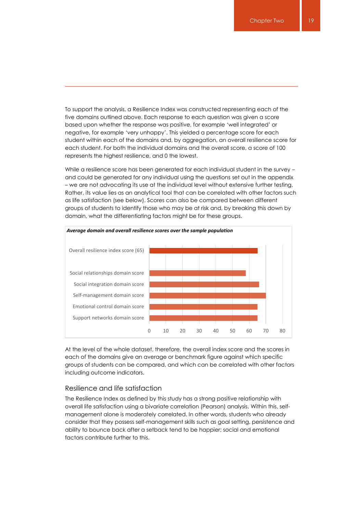To support the analysis, a Resilience Index was constructed representing each of the five domains outlined above. Each response to each question was given a score based upon whether the response was positive, for example 'well integrated' or negative, for example 'very unhappy'. This yielded a percentage score for each student within each of the domains and, by aggregation, an overall resilience score for each student. For both the individual domains and the overall score, a score of 100 represents the highest resilience, and 0 the lowest.

While a resilience score has been generated for each individual student in the survey and could be generated for any individual using the questions set out in the appendix – we are not advocating its use at the individual level without extensive further testing. Rather, its value lies as an analytical tool that can be correlated with other factors such as life satisfaction (see below). Scores can also be compared between different groups of students to identify those who may be at risk and, by breaking this down by domain, what the differentiating factors might be for these groups.



At the level of the whole dataset, therefore, the overall index score and the scores in each of the domains give an average or benchmark figure against which specific groups of students can be compared, and which can be correlated with other factors including outcome indicators.

#### Resilience and life satisfaction

The Resilience Index as defined by this study has a strong positive relationship with overall life satisfaction using a bivariate correlation (Pearson) analysis. Within this, selfmanagement alone is moderately correlated. In other words, students who already consider that they possess self-management skills such as goal setting, persistence and ability to bounce back after a setback tend to be happier; social and emotional factors contribute further to this.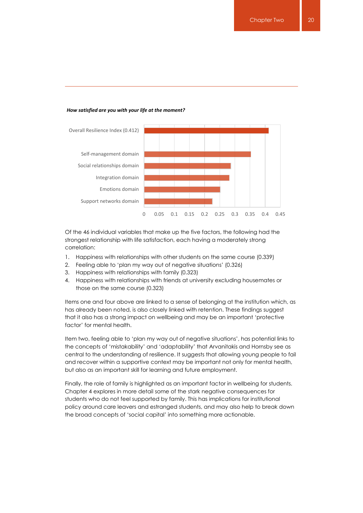#### *How satisfied are you with your life at the moment?*



Of the 46 individual variables that make up the five factors, the following had the strongest relationship with life satisfaction, each having a moderately strong correlation:

- 1. Happiness with relationships with other students on the same course (0.339)
- 2. Feeling able to 'plan my way out of negative situations' (0.326)
- 3. Happiness with relationships with family (0.323)
- 4. Happiness with relationships with friends at university excluding housemates or those on the same course (0.323)

Items one and four above are linked to a sense of belonging at the institution which, as has already been noted, is also closely linked with retention. These findings suggest that it also has a strong impact on wellbeing and may be an important 'protective factor' for mental health.

Item two, feeling able to 'plan my way out of negative situations', has potential links to the concepts of 'mistakability' and 'adaptability' that Arvanitakis and Hornsby see as central to the understanding of resilience. It suggests that allowing young people to fail and recover within a supportive context may be important not only for mental health, but also as an important skill for learning and future employment.

Finally, the role of family is highlighted as an important factor in wellbeing for students. Chapter 4 explores in more detail some of the stark negative consequences for students who do not feel supported by family. This has implications for institutional policy around care leavers and estranged students, and may also help to break down the broad concepts of 'social capital' into something more actionable.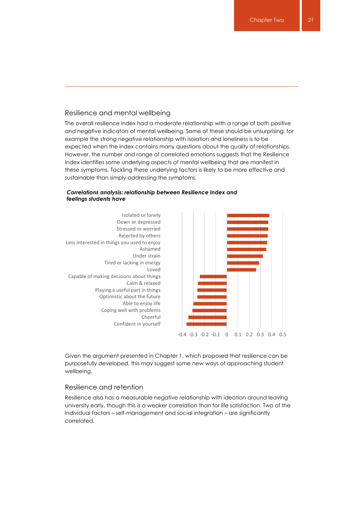#### Resilience and mental wellbeing

The overall resilience index had a moderate relationship with a range of both positive and negative indicators of mental wellbeing. Some of these should be unsurprising, for example the strong negative relationship with isolation and loneliness is to be expected when the index contains many questions about the quality of relationships. However, the number and range of correlated emotions suggests that the Resilience Index identifies some underlying aspects of mental wellbeing that are manifest in these symptoms. Tackling these underlying factors is likely to be more effective and sustainable than simply addressing the symptoms.



#### *Correlations analysis: relationship between Resilience Index and feelings students have*

Given the argument presented in Chapter 1, which proposed that resilience can be purposefully developed, this may suggest some new ways of approaching student wellbeing.

#### Resilience and retention

Resilience also has a measurable negative relationship with ideation around leaving university early, though this is a weaker correlation than for life satisfaction. Two of the individual factors – self-management and social integration – are significantly correlated.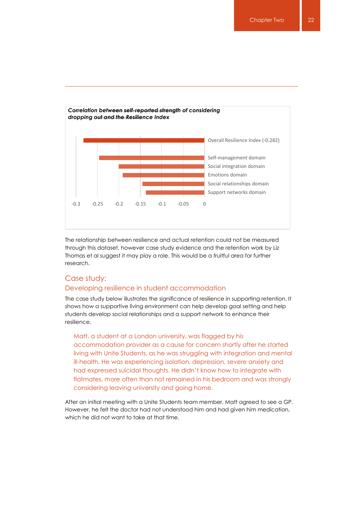

The relationship between resilience and actual retention could not be measured through this dataset, however case study evidence and the retention work by Liz Thomas et al suggest it may play a role. This would be a fruitful area for further research.

# Case study:

#### Developing resilience in student accommodation

The case study below illustrates the significance of resilience in supporting retention. It shows how a supportive living environment can help develop goal setting and help students develop social relationships and a support network to enhance their resilience.

Matt, a student at a London university, was flagged by his accommodation provider as a cause for concern shortly after he started living with Unite Students, as he was struggling with integration and mental ill-health. He was experiencing isolation, depression, severe anxiety and had expressed suicidal thoughts. He didn't know how to integrate with flatmates, more often than not remained in his bedroom and was strongly considering leaving university and going home.

After an initial meeting with a Unite Students team member, Matt agreed to see a GP. However, he felt the doctor had not understood him and had given him medication, which he did not want to take at that time.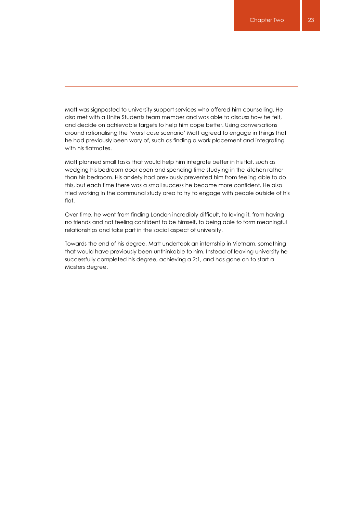Matt was signposted to university support services who offered him counselling. He also met with a Unite Students team member and was able to discuss how he felt, and decide on achievable targets to help him cope better. Using conversations around rationalising the 'worst case scenario' Matt agreed to engage in things that he had previously been wary of, such as finding a work placement and integrating with his flatmates.

Matt planned small tasks that would help him integrate better in his flat, such as wedging his bedroom door open and spending time studying in the kitchen rather than his bedroom. His anxiety had previously prevented him from feeling able to do this, but each time there was a small success he became more confident. He also tried working in the communal study area to try to engage with people outside of his flat.

Over time, he went from finding London incredibly difficult, to loving it, from having no friends and not feeling confident to be himself, to being able to form meaningful relationships and take part in the social aspect of university.

Towards the end of his degree, Matt undertook an internship in Vietnam, something that would have previously been unthinkable to him. Instead of leaving university he successfully completed his degree, achieving a 2:1, and has gone on to start a Masters degree.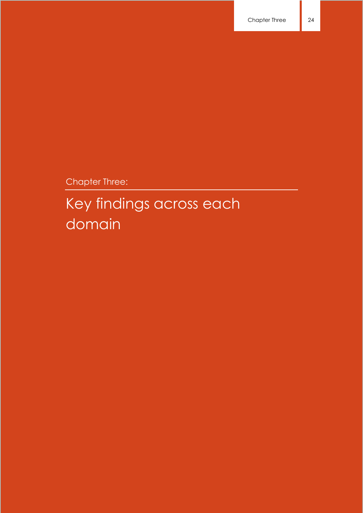Chapter Three:

# Key findings across each domain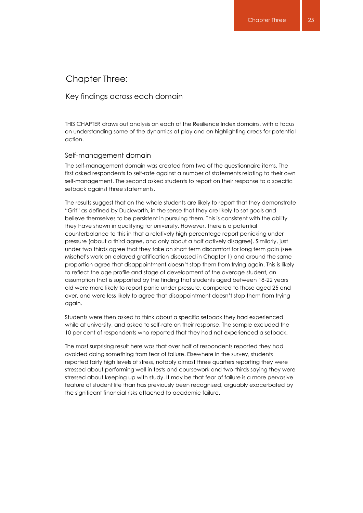### Chapter Three:

#### Key findings across each domain

THIS CHAPTER draws out analysis on each of the Resilience Index domains, with a focus on understanding some of the dynamics at play and on highlighting areas for potential action.

#### Self-management domain

The self-management domain was created from two of the questionnaire items. The first asked respondents to self-rate against a number of statements relating to their own self-management. The second asked students to report on their response to a specific setback against three statements.

The results suggest that on the whole students are likely to report that they demonstrate "Grit" as defined by Duckworth, in the sense that they are likely to set goals and believe themselves to be persistent in pursuing them. This is consistent with the ability they have shown in qualifying for university. However, there is a potential counterbalance to this in that a relatively high percentage report panicking under pressure (about a third agree, and only about a half actively disagree). Similarly, just under two thirds agree that they take on short term discomfort for long term gain (see Mischel's work on delayed gratification discussed in Chapter 1) and around the same proportion agree that disappointment doesn't stop them from trying again. This is likely to reflect the age profile and stage of development of the average student, an assumption that is supported by the finding that students aged between 18-22 years old were more likely to report panic under pressure, compared to those aged 25 and over, and were less likely to agree that disappointment doesn't stop them from trying again.

Students were then asked to think about a specific setback they had experienced while at university, and asked to self-rate on their response. The sample excluded the 10 per cent of respondents who reported that they had not experienced a setback.

The most surprising result here was that over half of respondents reported they had avoided doing something from fear of failure. Elsewhere in the survey, students reported fairly high levels of stress, notably almost three quarters reporting they were stressed about performing well in tests and coursework and two-thirds saying they were stressed about keeping up with study. It may be that fear of failure is a more pervasive feature of student life than has previously been recognised, arguably exacerbated by the significant financial risks attached to academic failure.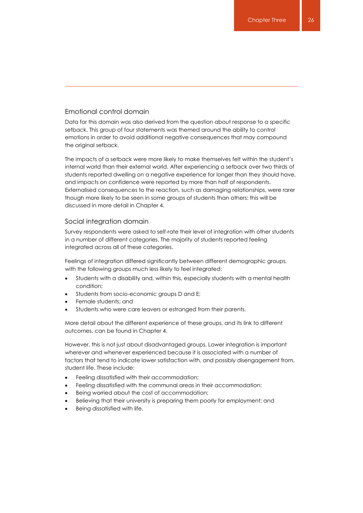## Emotional control domain

Data for this domain was also derived from the question about response to a specific setback. This group of four statements was themed around the ability to control emotions in order to avoid additional negative consequences that may compound the original setback.

The impacts of a setback were more likely to make themselves felt within the student's internal world than their external world. After experiencing a setback over two thirds of students reported dwelling on a negative experience for longer than they should have, and impacts on confidence were reported by more than half of respondents. Externalised consequences to the reaction, such as damaging relationships, were rarer though more likely to be seen in some groups of students than others: this will be discussed in more detail in Chapter 4.

#### Social integration domain

Survey respondents were asked to self-rate their level of integration with other students in a number of different categories. The majority of students reported feeling integrated across all of these categories.

Feelings of integration differed significantly between different demographic groups, with the following groups much less likely to feel integrated:

- Students with a disability and, within this, especially students with a mental health condition;
- Students from socio-economic groups D and E;
- Female students; and
- Students who were care leavers or estranged from their parents.

More detail about the different experience of these groups, and its link to different outcomes, can be found in Chapter 4.

However, this is not just about disadvantaged groups. Lower integration is important wherever and whenever experienced because it is associated with a number of factors that tend to indicate lower satisfaction with, and possibly disengagement from, student life. These include:

- Feeling dissatisfied with their accommodation;
- Feeling dissatisfied with the communal areas in their accommodation;
- Being worried about the cost of accommodation;
- Believing that their university is preparing them poorly for employment; and
- Being dissatisfied with life.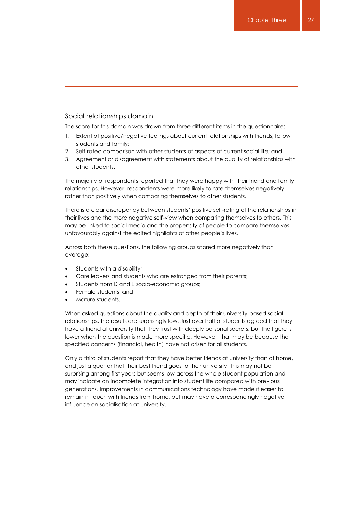#### Social relationships domain

The score for this domain was drawn from three different items in the questionnaire:

- 1. Extent of positive/negative feelings about current relationships with friends, fellow students and family;
- 2. Self-rated comparison with other students of aspects of current social life; and
- 3. Agreement or disagreement with statements about the quality of relationships with other students.

The majority of respondents reported that they were happy with their friend and family relationships. However, respondents were more likely to rate themselves negatively rather than positively when comparing themselves to other students.

There is a clear discrepancy between students' positive self-rating of the relationships in their lives and the more negative self-view when comparing themselves to others. This may be linked to social media and the propensity of people to compare themselves unfavourably against the edited highlights of other people's lives.

Across both these questions, the following groups scored more negatively than average:

- Students with a disability;
- Care leavers and students who are estranged from their parents;
- Students from D and E socio-economic groups;
- Female students; and
- Mature students.

When asked questions about the quality and depth of their university-based social relationships, the results are surprisingly low. Just over half of students agreed that they have a friend at university that they trust with deeply personal secrets, but the figure is lower when the question is made more specific. However, that may be because the specified concerns (financial, health) have not arisen for all students.

Only a third of students report that they have better friends at university than at home, and just a quarter that their best friend goes to their university. This may not be surprising among first years but seems low across the whole student population and may indicate an incomplete integration into student life compared with previous generations. Improvements in communications technology have made it easier to remain in touch with friends from home, but may have a correspondingly negative influence on socialisation at university.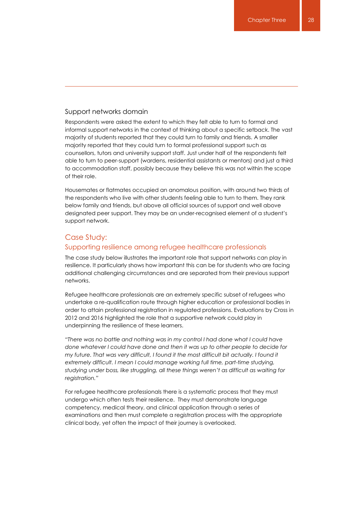#### Support networks domain

Respondents were asked the extent to which they felt able to turn to formal and informal support networks in the context of thinking about a specific setback. The vast majority of students reported that they could turn to family and friends. A smaller majority reported that they could turn to formal professional support such as counsellors, tutors and university support staff. Just under half of the respondents felt able to turn to peer-support (wardens, residential assistants or mentors) and just a third to accommodation staff, possibly because they believe this was not within the scope of their role.

Housemates or flatmates occupied an anomalous position, with around two thirds of the respondents who live with other students feeling able to turn to them. They rank below family and friends, but above all official sources of support and well above designated peer support. They may be an under-recognised element of a student's support network.

#### Case Study:

#### Supporting resilience among refugee healthcare professionals

The case study below illustrates the important role that support networks can play in resilience. It particularly shows how important this can be for students who are facing additional challenging circumstances and are separated from their previous support networks.

Refugee healthcare professionals are an extremely specific subset of refugees who undertake a re-qualification route through higher education or professional bodies in order to attain professional registration in regulated professions. Evaluations by Cross in 2012 and 2016 highlighted the role that a supportive network could play in underpinning the resilience of these learners.

*"There was no battle and nothing was in my control I had done what I could have done whatever I could have done and then it was up to other people to decide for my future. That was very difficult, I found it the most difficult bit actually. I found it extremely difficult. I mean I could manage working full time, part-time studying, studying under boss, like struggling, all these things weren't as difficult as waiting for registration."*

For refugee healthcare professionals there is a systematic process that they must undergo which often tests their resilience. They must demonstrate language competency, medical theory, and clinical application through a series of examinations and then must complete a registration process with the appropriate clinical body, yet often the impact of their journey is overlooked.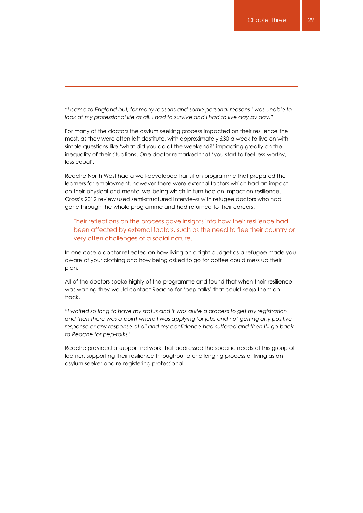*"I came to England but, for many reasons and some personal reasons I was unable to look at my professional life at all. I had to survive and I had to live day by day."*

For many of the doctors the asylum seeking process impacted on their resilience the most, as they were often left destitute, with approximately £30 a week to live on with simple questions like 'what did you do at the weekend?' impacting greatly on the inequality of their situations. One doctor remarked that 'you start to feel less worthy, less equal'.

Reache North West had a well-developed transition programme that prepared the learners for employment, however there were external factors which had an impact on their physical and mental wellbeing which in turn had an impact on resilience. Cross's 2012 review used semi-structured interviews with refugee doctors who had gone through the whole programme and had returned to their careers.

Their reflections on the process gave insights into how their resilience had been affected by external factors, such as the need to flee their country or very often challenges of a social nature.

In one case a doctor reflected on how living on a tight budget as a refugee made you aware of your clothing and how being asked to go for coffee could mess up their plan.

All of the doctors spoke highly of the programme and found that when their resilience was waning they would contact Reache for 'pep-talks' that could keep them on track.

*"I waited so long to have my status and it was quite a process to get my registration and then there was a point where I was applying for jobs and not getting any positive response or any response at all and my confidence had suffered and then I'll go back to Reache for pep-talks."*

Reache provided a support network that addressed the specific needs of this group of learner, supporting their resilience throughout a challenging process of living as an asylum seeker and re-registering professional.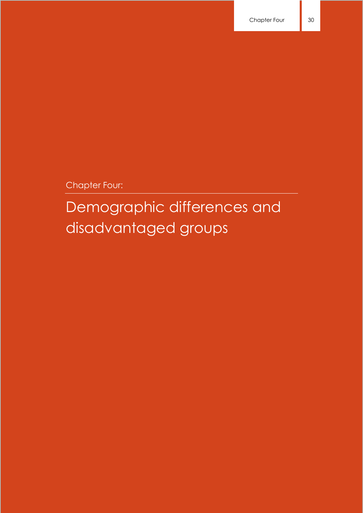Chapter Four:

Demographic differences and disadvantaged groups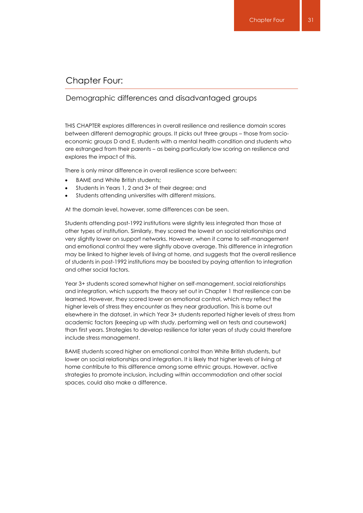# Chapter Four:

# Demographic differences and disadvantaged groups

THIS CHAPTER explores differences in overall resilience and resilience domain scores between different demographic groups. It picks out three groups – those from socioeconomic groups D and E, students with a mental health condition and students who are estranged from their parents – as being particularly low scoring on resilience and explores the impact of this.

There is only minor difference in overall resilience score between:

- BAME and White British students;
- Students in Years 1, 2 and 3+ of their degree; and
- Students attending universities with different missions.

At the domain level, however, some differences can be seen.

Students attending post-1992 institutions were slightly less integrated than those at other types of institution. Similarly, they scored the lowest on social relationships and very slightly lower on support networks. However, when it came to self-management and emotional control they were slightly above average. This difference in integration may be linked to higher levels of living at home, and suggests that the overall resilience of students in post-1992 institutions may be boosted by paying attention to integration and other social factors.

Year 3+ students scored somewhat higher on self-management, social relationships and integration, which supports the theory set out in Chapter 1 that resilience can be learned. However, they scored lower on emotional control, which may reflect the higher levels of stress they encounter as they near graduation. This is borne out elsewhere in the dataset, in which Year 3+ students reported higher levels of stress from academic factors (keeping up with study, performing well on tests and coursework) than first years. Strategies to develop resilience for later years of study could therefore include stress management.

BAME students scored higher on emotional control than White British students, but lower on social relationships and integration. It is likely that higher levels of living at home contribute to this difference among some ethnic groups. However, active strategies to promote inclusion, including within accommodation and other social spaces, could also make a difference.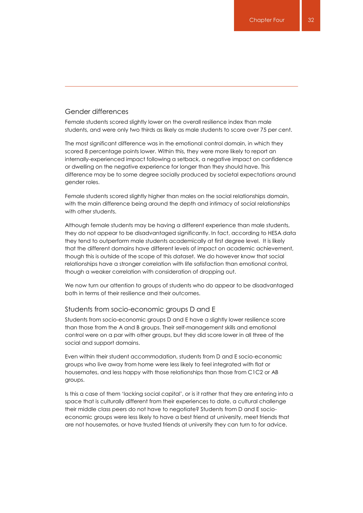#### Gender differences

Female students scored slightly lower on the overall resilience index than male students, and were only two thirds as likely as male students to score over 75 per cent.

The most significant difference was in the emotional control domain, in which they scored 8 percentage points lower. Within this, they were more likely to report an internally-experienced impact following a setback, a negative impact on confidence or dwelling on the negative experience for longer than they should have. This difference may be to some degree socially produced by societal expectations around gender roles.

Female students scored slightly higher than males on the social relationships domain, with the main difference being around the depth and intimacy of social relationships with other students.

Although female students may be having a different experience than male students, they do not appear to be disadvantaged significantly. In fact, according to HESA data they tend to outperform male students academically at first degree level. It is likely that the different domains have different levels of impact on academic achievement, though this is outside of the scope of this dataset. We do however know that social relationships have a stronger correlation with life satisfaction than emotional control, though a weaker correlation with consideration of dropping out.

We now turn our attention to groups of students who do appear to be disadvantaged both in terms of their resilience and their outcomes.

#### Students from socio-economic groups D and E

Students from socio-economic groups D and E have a slightly lower resilience score than those from the A and B groups. Their self-management skills and emotional control were on a par with other groups, but they did score lower in all three of the social and support domains.

Even within their student accommodation, students from D and E socio-economic groups who live away from home were less likely to feel integrated with flat or housemates, and less happy with those relationships than those from C1C2 or AB groups.

Is this a case of them 'lacking social capital', or is it rather that they are entering into a space that is culturally different from their experiences to date, a cultural challenge their middle class peers do not have to negotiate? Students from D and E socioeconomic groups were less likely to have a best friend at university, meet friends that are not housemates, or have trusted friends at university they can turn to for advice.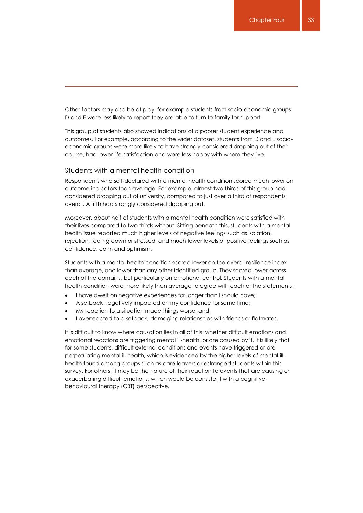Other factors may also be at play, for example students from socio-economic groups D and E were less likely to report they are able to turn to family for support.

This group of students also showed indications of a poorer student experience and outcomes. For example, according to the wider dataset, students from D and E socioeconomic groups were more likely to have strongly considered dropping out of their course, had lower life satisfaction and were less happy with where they live.

#### Students with a mental health condition

Respondents who self-declared with a mental health condition scored much lower on outcome indicators than average. For example, almost two thirds of this group had considered dropping out of university, compared to just over a third of respondents overall. A fifth had strongly considered dropping out.

Moreover, about half of students with a mental health condition were satisfied with their lives compared to two thirds without. Sitting beneath this, students with a mental health issue reported much higher levels of negative feelings such as isolation, rejection, feeling down or stressed, and much lower levels of positive feelings such as confidence, calm and optimism.

Students with a mental health condition scored lower on the overall resilience index than average, and lower than any other identified group. They scored lower across each of the domains, but particularly on emotional control. Students with a mental health condition were more likely than average to agree with each of the statements:

- I have dwelt on negative experiences for longer than I should have;
- A setback negatively impacted on my confidence for some time;
- My reaction to a situation made things worse; and
- I overreacted to a setback, damaging relationships with friends or flatmates.

It is difficult to know where causation lies in all of this: whether difficult emotions and emotional reactions are triggering mental ill-health, or are caused by it. It is likely that for some students, difficult external conditions and events have triggered or are perpetuating mental ill-health, which is evidenced by the higher levels of mental illhealth found among groups such as care leavers or estranged students within this survey. For others, it may be the nature of their reaction to events that are causing or exacerbating difficult emotions, which would be consistent with a cognitivebehavioural therapy (CBT) perspective.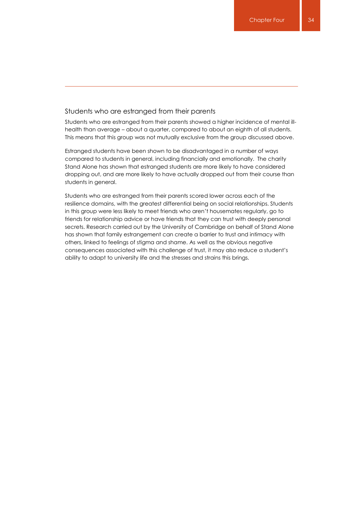#### Students who are estranged from their parents

Students who are estranged from their parents showed a higher incidence of mental illhealth than average – about a quarter, compared to about an eighth of all students. This means that this group was not mutually exclusive from the group discussed above.

Estranged students have been shown to be disadvantaged in a number of ways compared to students in general, including financially and emotionally. The charity Stand Alone has shown that estranged students are more likely to have considered dropping out, and are more likely to have actually dropped out from their course than students in general.

Students who are estranged from their parents scored lower across each of the resilience domains, with the greatest differential being on social relationships. Students in this group were less likely to meet friends who aren't housemates regularly, go to friends for relationship advice or have friends that they can trust with deeply personal secrets. Research carried out by the University of Cambridge on behalf of Stand Alone has shown that family estrangement can create a barrier to trust and intimacy with others, linked to feelings of stigma and shame. As well as the obvious negative consequences associated with this challenge of trust, it may also reduce a student's ability to adapt to university life and the stresses and strains this brings.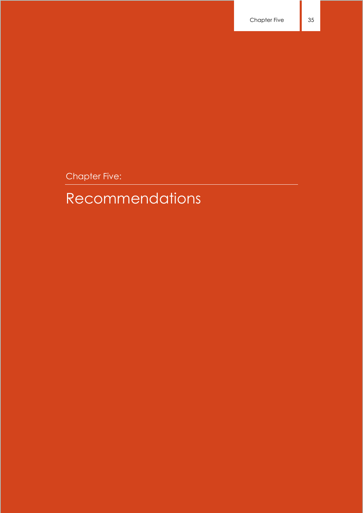Chapter Five:

# Recommendations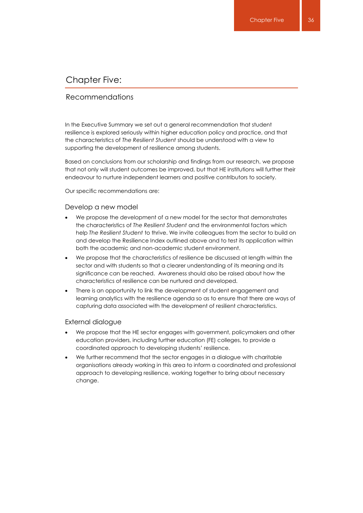# Chapter Five:

### Recommendations

In the Executive Summary we set out a general recommendation that student resilience is explored seriously within higher education policy and practice, and that the characteristics of *The Resilient Student* should be understood with a view to supporting the development of resilience among students.

Based on conclusions from our scholarship and findings from our research, we propose that not only will student outcomes be improved, but that HE institutions will further their endeavour to nurture independent learners and positive contributors to society.

Our specific recommendations are:

#### Develop a new model

- We propose the development of a new model for the sector that demonstrates the characteristics of *The Resilient Student* and the environmental factors which help *The Resilient Student* to thrive. We invite colleagues from the sector to build on and develop the Resilience Index outlined above and to test its application within both the academic and non-academic student environment.
- We propose that the characteristics of resilience be discussed at length within the sector and with students so that a clearer understanding of its meaning and its significance can be reached. Awareness should also be raised about how the characteristics of resilience can be nurtured and developed.
- There is an opportunity to link the development of student engagement and learning analytics with the resilience agenda so as to ensure that there are ways of capturing data associated with the development of resilient characteristics.

#### External dialogue

- We propose that the HE sector engages with government, policymakers and other education providers, including further education (FE) colleges, to provide a coordinated approach to developing students' resilience.
- We further recommend that the sector engages in a dialogue with charitable organisations already working in this area to inform a coordinated and professional approach to developing resilience, working together to bring about necessary change.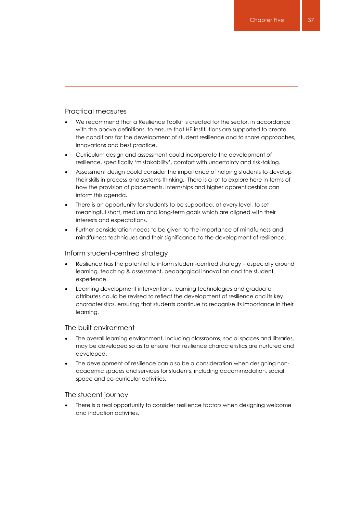### Practical measures

- We recommend that a Resilience Toolkit is created for the sector, in accordance with the above definitions, to ensure that HE institutions are supported to create the conditions for the development of student resilience and to share approaches, innovations and best practice.
- Curriculum design and assessment could incorporate the development of resilience, specifically 'mistakability', comfort with uncertainty and risk-taking.
- Assessment design could consider the importance of helping students to develop their skills in process and systems thinking. There is a lot to explore here in terms of how the provision of placements, internships and higher apprenticeships can inform this agenda.
- There is an opportunity for students to be supported, at every level, to set meaningful short, medium and long-term goals which are aligned with their interests and expectations.
- Further consideration needs to be given to the importance of mindfulness and mindfulness techniques and their significance to the development of resilience.

### Inform student-centred strategy

- Resilience has the potential to inform student-centred strategy especially around learning, teaching & assessment, pedagogical innovation and the student experience.
- Learning development interventions, learning technologies and graduate attributes could be revised to reflect the development of resilience and its key characteristics, ensuring that students continue to recognise its importance in their learning.

#### The built environment

- The overall learning environment, including classrooms, social spaces and libraries, may be developed so as to ensure that resilience characteristics are nurtured and developed.
- The development of resilience can also be a consideration when designing nonacademic spaces and services for students, including accommodation, social space and co-curricular activities.

#### The student journey

 There is a real opportunity to consider resilience factors when designing welcome and induction activities.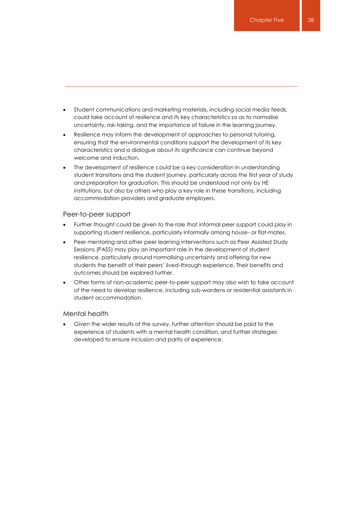- Student communications and marketing materials, including social media feeds, could take account of resilience and its key characteristics so as to normalise uncertainty, risk-taking, and the importance of failure in the learning journey.
- Resilience may inform the development of approaches to personal tutoring, ensuring that the environmental conditions support the development of its key characteristics and a dialogue about its significance can continue beyond welcome and induction.
- The development of resilience could be a key consideration in understanding student transitions and the student journey, particularly across the first year of study and preparation for graduation. This should be understood not only by HE institutions, but also by others who play a key role in these transitions, including accommodation providers and graduate employers.

#### Peer-to-peer support

- Further thought could be given to the role that informal peer support could play in supporting student resilience, particularly informally among house- or flat-mates.
- Peer mentoring and other peer learning interventions such as Peer Assisted Study Sessions (PASS) may play an important role in the development of student resilience, particularly around normalising uncertainty and offering for new students the benefit of their peers' lived-through experience. Their benefits and outcomes should be explored further.
- Other forms of non-academic peer-to-peer support may also wish to take account of the need to develop resilience, including sub-wardens or residential assistants in student accommodation.

#### Mental health

 Given the wider results of the survey, further attention should be paid to the experience of students with a mental health condition, and further strategies developed to ensure inclusion and parity of experience.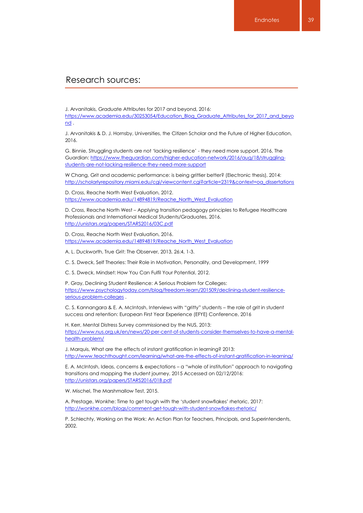# Research sources:

J. Arvanitakis, Graduate Attributes for 2017 and beyond, 2016:

[https://www.academia.edu/30253054/Education\\_Blog\\_Graduate\\_Attributes\\_for\\_2017\\_and\\_beyo](https://www.academia.edu/30253054/Education_Blog_Graduate_Attributes_for_2017_and_beyond) [nd](https://www.academia.edu/30253054/Education_Blog_Graduate_Attributes_for_2017_and_beyond) .

J. Arvanitakis & D. J. Hornsby, Universities, the Citizen Scholar and the Future of Higher Education, 2016.

G. Binnie, Struggling students are not 'lacking resilience' - they need more support, 2016, The Guardian[: https://www.theguardian.com/higher-education-network/2016/aug/18/struggling](https://www.theguardian.com/higher-education-network/2016/aug/18/struggling-students-are-not-lacking-resilience-they-need-more-support)[students-are-not-lacking-resilience-they-need-more-support](https://www.theguardian.com/higher-education-network/2016/aug/18/struggling-students-are-not-lacking-resilience-they-need-more-support)

W Chang, Grit and academic performance: is being grittier better? (Electronic thesis), 2014: [http://scholarlyrepository.miami.edu/cgi/viewcontent.cgi?article=2319&context=oa\\_dissertations](http://scholarlyrepository.miami.edu/cgi/viewcontent.cgi?article=2319&context=oa_dissertations)

D. Cross, Reache North West Evaluation, 2012. [https://www.academia.edu/14894819/Reache\\_North\\_West\\_Evaluation](https://www.academia.edu/14894819/Reache_North_West_Evaluation)

D. Cross, Reache North West – Applying transition pedagogy principles to Refugee Healthcare Professionals and International Medical Students/Graduates, 2016. <http://unistars.org/papers/STARS2016/03C.pdf>

D. Cross, Reache North West Evaluation, 2016. [https://www.academia.edu/14894819/Reache\\_North\\_West\\_Evaluation](https://www.academia.edu/14894819/Reache_North_West_Evaluation)

A. L. Duckworth, True Grit: The Observer, 2013, 26:4, 1-3.

C. S. Dweck, Self Theories: Their Role in Motivation, Personality, and Development, 1999

C. S. Dweck, Mindset: How You Can Fulfil Your Potential, 2012.

P. Gray, Declining Student Resilience: A Serious Problem for Colleges: [https://www.psychologytoday.com/blog/freedom-learn/201509/declining-student-resilience](https://www.psychologytoday.com/blog/freedom-learn/201509/declining-student-resilience-serious-problem-colleges)[serious-problem-colleges](https://www.psychologytoday.com/blog/freedom-learn/201509/declining-student-resilience-serious-problem-colleges) .

C. S. Kannangara & E. A. McIntosh, Interviews with "gritty" students – the role of grit in student success and retention: European First Year Experience (EFYE) Conference, 2016

H. Kerr, Mental Distress Survey commissioned by the NUS, 2013: [https://www.nus.org.uk/en/news/20-per-cent-of-students-consider-themselves-to-have-a-mental](https://www.nus.org.uk/en/news/20-per-cent-of-students-consider-themselves-to-have-a-mental-health-problem/)[health-problem/](https://www.nus.org.uk/en/news/20-per-cent-of-students-consider-themselves-to-have-a-mental-health-problem/)

J. Marquis, What are the effects of instant gratification in learning? 2013: <http://www.teachthought.com/learning/what-are-the-effects-of-instant-gratification-in-learning/>

E. A. McIntosh, Ideas, concerns & expectations – a "whole of institution" approach to navigating transitions and mapping the student journey, 2015 Accessed on 02/12/2016: <http://unistars.org/papers/STARS2016/01B.pdf>

W. Mischel, The Marshmallow Test, 2015.

A. Prestage, Wonkhe: Time to get tough with the 'student snowflakes' rhetoric, 2017: <http://wonkhe.com/blogs/comment-get-tough-with-student-snowflakes-rhetoric/>

P. Schlechty, Working on the Work: An Action Plan for Teachers, Principals, and Superintendents, 2002.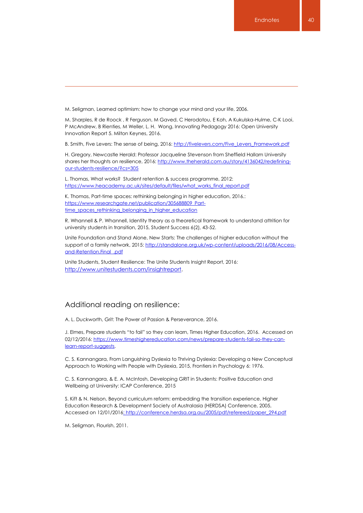M. Seligman, Learned optimism: how to change your mind and your life, 2006.

M. Sharples, R de Roock , R Ferguson, M Gaved, C Herodotou, E Koh, A Kukulska-Hulme, C-K Looi, P McAndrew, B Rienties, M Weller, L. H. Wong, Innovating Pedagogy 2016: Open University Innovation Report 5. Milton Keynes, 2016.

B. Smith, Five Levers: The sense of being, 2016: [http://fivelevers.com/Five\\_Levers\\_Framework.pdf](http://fivelevers.com/Five_Levers_Framework.pdf)

H. Gregory, Newcastle Herald: Professor Jacqueline Stevenson from Sheffield Hallam University shares her thoughts on resilience, 2016[: http://www.theherald.com.au/story/4136042/redefining](http://www.theherald.com.au/story/4136042/redefining-our-students-resilience/?cs=305)[our-students-resilience/?cs=305](http://www.theherald.com.au/story/4136042/redefining-our-students-resilience/?cs=305)

L. Thomas, What works? Student retention & success programme, 2012: [https://www.heacademy.ac.uk/sites/default/files/what\\_works\\_final\\_report.pdf](https://www.heacademy.ac.uk/sites/default/files/what_works_final_report.pdf)

K. Thomas, Part-time spaces: rethinking belonging in higher education, 2016.: [https://www.researchgate.net/publication/305688809\\_Part](https://www.researchgate.net/publication/305688809_Part-time_spaces_rethinking_belonging_in_higher_education)[time\\_spaces\\_rethinking\\_belonging\\_in\\_higher\\_education](https://www.researchgate.net/publication/305688809_Part-time_spaces_rethinking_belonging_in_higher_education)

R. Whannell & P. Whannell, Identity theory as a theoretical framework to understand attrition for university students in transition, 2015, Student Success 6(2), 43-52.

Unite Foundation and Stand Alone, New Starts: The challenges of higher education without the support of a family network, 2015: [http://standalone.org.uk/wp-content/uploads/2016/08/Access](http://standalone.org.uk/wp-content/uploads/2016/08/Access-and-Retention.Final_.pdf)[and-Retention.Final\\_.pdf](http://standalone.org.uk/wp-content/uploads/2016/08/Access-and-Retention.Final_.pdf)

Unite Students, Student Resilience: The Unite Students Insight Report, 2016: [http://www.unitestudents.com/insightreport.](http://www.unitestudents.com/insightreport)

#### Additional reading on resilience:

A. L. Duckworth, Grit: The Power of Passion & Perseverance, 2016.

J. Elmes, Prepare students "to fail" so they can learn, Times Higher Education, 2016. Accessed on 02/12/2016[: https://www.timeshighereducation.com/news/prepare-students-fail-so-they-can](https://www.timeshighereducation.com/news/prepare-students-fail-so-they-can-learn-report-suggests)[learn-report-suggests.](https://www.timeshighereducation.com/news/prepare-students-fail-so-they-can-learn-report-suggests)

C. S. Kannangara, From Languishing Dyslexia to Thriving Dyslexia: Developing a New Conceptual Approach to Working with People with Dyslexia, 2015, Frontiers in Psychology 6: 1976.

C. S. Kannangara, & E. A. McIntosh, Developing GRIT in Students: Positive Education and Wellbeing at University: ICAP Conference, 2015

S. Kift & N. Nelson, Beyond curriculum reform: embedding the transition experience, Higher Education Research & Development Society of Australasia (HERDSA) Conference, 2005, Accessed on 12/01/201[6: http://conference.herdsa.org.au/2005/pdf/refereed/paper\\_294.pdf](file:///C:/Users/jennifersh/AppData/Local/Microsoft/Windows/INetCache/Content.Outlook/ZEKONJNX/:%20http:/conference.herdsa.org.au/2005/pdf/refereed/paper_294.pdf)

M. Seligman, Flourish, 2011.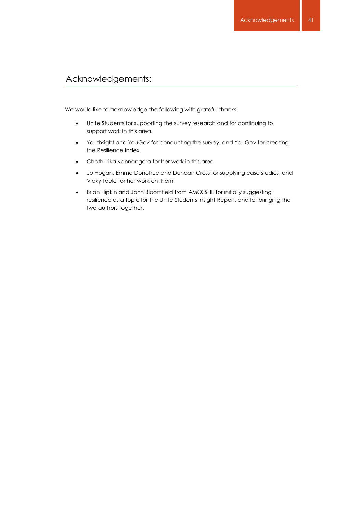# Acknowledgements:

We would like to acknowledge the following with grateful thanks:

- Unite Students for supporting the survey research and for continuing to support work in this area.
- Youthsight and YouGov for conducting the survey, and YouGov for creating the Resilience Index.
	- Chathurika Kannangara for her work in this area.
	- Jo Hogan, Emma Donohue and Duncan Cross for supplying case studies, and Vicky Toole for her work on them.
	- Brian Hipkin and John Bloomfield from AMOSSHE for initially suggesting resilience as a topic for the Unite Students Insight Report, and for bringing the two authors together.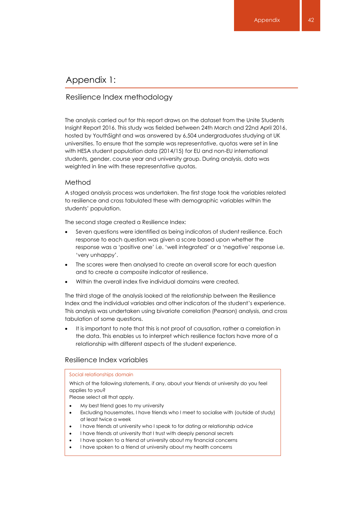# Appendix 1:

### Resilience Index methodology

The analysis carried out for this report draws on the dataset from the Unite Students Insight Report 2016. This study was fielded between 24th March and 22nd April 2016, hosted by YouthSight and was answered by 6,504 undergraduates studying at UK universities. To ensure that the sample was representative, quotas were set in line with HESA student population data (2014/15) for EU and non-EU international students, gender, course year and university group. During analysis, data was weighted in line with these representative quotas.

#### Method

A staged analysis process was undertaken. The first stage took the variables related to resilience and cross tabulated these with demographic variables within the students' population.

The second stage created a Resilience Index:

- Seven questions were identified as being indicators of student resilience. Each response to each question was given a score based upon whether the response was a 'positive one' i.e. 'well integrated' or a 'negative' response i.e. 'very unhappy'.
- The scores were then analysed to create an overall score for each question and to create a composite indicator of resilience.
- Within the overall index five individual domains were created.

The third stage of the analysis looked at the relationship between the Resilience Index and the individual variables and other indicators of the student's experience. This analysis was undertaken using bivariate correlation (Pearson) analysis, and cross tabulation of some questions.

 It is important to note that this is not proof of causation, rather a correlation in the data. This enables us to interpret which resilience factors have more of a relationship with different aspects of the student experience.

#### Resilience Index variables

#### Social relationships domain

Which of the following statements, if any, about your friends at university do you feel applies to you?

Please select all that apply.

- My best friend goes to my university
- Excluding housemates, I have friends who I meet to socialise with (outside of study) at least twice a week
- I have friends at university who I speak to for dating or relationship advice
- I have friends at university that I trust with deeply personal secrets
- I have spoken to a friend at university about my financial concerns
- I have spoken to a friend at university about my health concerns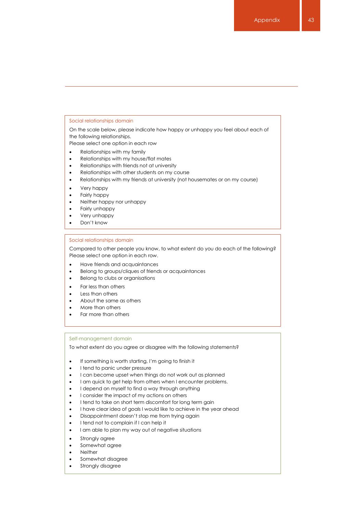#### Social relationships domain

On the scale below, please indicate how happy or unhappy you feel about each of the following relationships.

Please select one option in each row

- Relationships with my family
- Relationships with my house/flat mates
- Relationships with friends not at university
- Relationships with other students on my course
- Relationships with my friends at university (not housemates or on my course)
- Very happy
- Fairly happy
- Neither happy nor unhappy
- Fairly unhappy
- Very unhappy
- Don't know

#### Social relationships domain

Compared to other people you know, to what extent do you do each of the following? Please select one option in each row.

- Have friends and acquaintances
- Belong to groups/cliques of friends or acquaintances
- Belong to clubs or organisations
- Far less than others
- Less than others
- About the same as others
- More than others
- Far more than others

#### Self-management domain

To what extent do you agree or disagree with the following statements?

- If something is worth starting, I'm going to finish it
- I tend to panic under pressure
- I can become upset when things do not work out as planned
- I am quick to get help from others when I encounter problems.
- I depend on myself to find a way through anything
- I consider the impact of my actions on others
- I tend to take on short term discomfort for long term gain
- I have clear idea of goals I would like to achieve in the year ahead
- Disappointment doesn't stop me from trying again
- I tend not to complain if I can help it
- I am able to plan my way out of negative situations
- Strongly agree
- Somewhat agree
- Neither
- Somewhat disagree
- Strongly disagree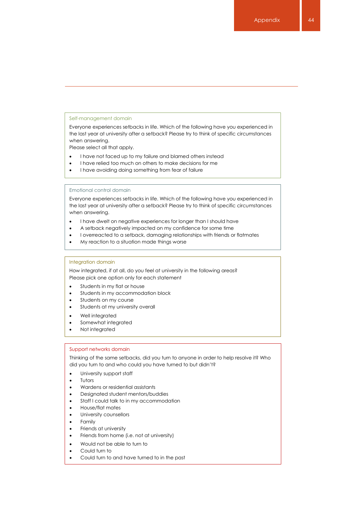#### Self-management domain

Everyone experiences setbacks in life. Which of the following have you experienced in the last year at university after a setback? Please try to think of specific circumstances when answering.

Please select all that apply.

- I have not faced up to my failure and blamed others instead
- I have relied too much on others to make decisions for me
- I have avoiding doing something from fear of failure

Emotional control domain

Everyone experiences setbacks in life. Which of the following have you experienced in the last year at university after a setback? Please try to think of specific circumstances when answering.

- I have dwelt on negative experiences for longer than I should have
- A setback negatively impacted on my confidence for some time
- I overreacted to a setback, damaging relationships with friends or flatmates
- My reaction to a situation made things worse

#### Integration domain

How integrated, if at all, do you feel at university in the following areas? Please pick one option only for each statement

- Students in my flat or house
- Students in my accommodation block
- Students on my course
- Students at my university overall
- Well integrated
- Somewhat integrated
- Not integrated

#### Support networks domain

Thinking of the same setbacks, did you turn to anyone in order to help resolve it? Who did you turn to and who could you have turned to but didn't?

- University support staff
- Tutors
- Wardens or residential assistants
- Designated student mentors/buddies
- Staff I could talk to in my accommodation
- House/flat mates
- University counsellors
- Family
- Friends at university
- Friends from home (i.e. not at university)
- Would not be able to turn to
- Could turn to
- Could turn to and have turned to in the past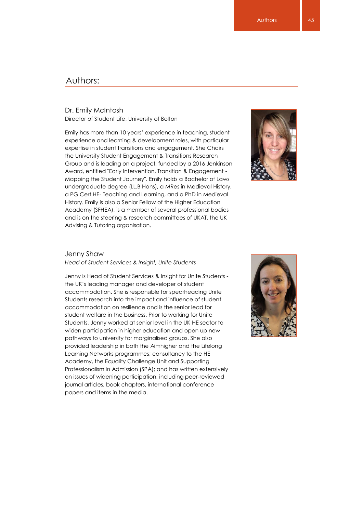# Authors:

# Dr. Emily McIntosh

Director of Student Life, University of Bolton

experience and loaning a development roles, with paincers Group and is leading on a project, funded by a 2016 Jenkinson Emily has more than 10 years' experience in teaching, student experience and learning & development roles, with particular the University Student Engagement & Transitions Research Award, entitled "Early Intervention, Transition & Engagement - Mapping the Student Journey". Emily holds a Bachelor of Laws undergraduate degree (LL.B Hons), a MRes in Medieval History, a PG Cert HE- Teaching and Learning, and a PhD in Medieval History. Emily is also a Senior Fellow of the Higher Education Academy (SFHEA), is a member of several professional bodies and is on the steering & research committees of UKAT, the UK Advising & Tutoring organisation.



#### Jenny Shaw

*Head of Student Services & Insight, Unite Students*

Jenny is Head of Student Services & Insight for Unite Students the UK's leading manager and developer of student accommodation. She is responsible for spearheading Unite Students research into the impact and influence of student accommodation on resilience and is the senior lead for student welfare in the business. Prior to working for Unite Students, Jenny worked at senior level in the UK HE sector to widen participation in higher education and open up new pathways to university for marginalised groups. She also provided leadership in both the Aimhigher and the Lifelong Learning Networks programmes; consultancy to the HE Academy, the Equality Challenge Unit and Supporting Professionalism in Admission (SPA); and has written extensively on issues of widening participation, including peer-reviewed journal articles, book chapters, international conference papers and items in the media.